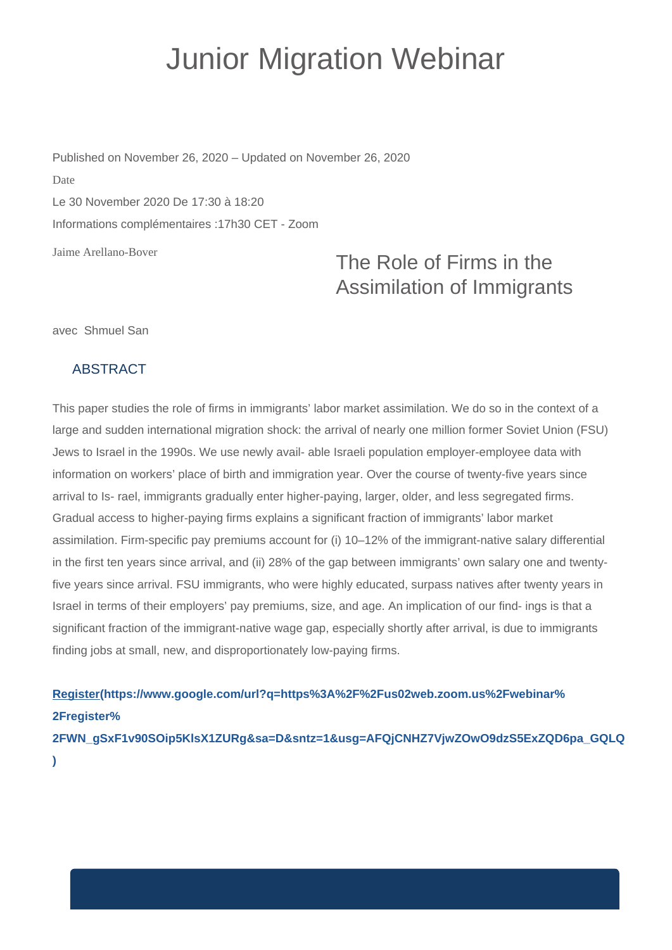## Junior Migration Webinar

Jaime Arellano-Bover Published on November 26, 2020 – Updated on November 26, 2020 Date Le 30 November 2020 De 17:30 à 18:20 Informations complémentaires :17h30 CET - Zoom

## The Role of Firms in the Assimilation of Immigrants

avec Shmuel San

## ABSTRACT

This paper studies the role of firms in immigrants' labor market assimilation. We do so in the context of a large and sudden international migration shock: the arrival of nearly one million former Soviet Union (FSU) Jews to Israel in the 1990s. We use newly avail- able Israeli population employer-employee data with information on workers' place of birth and immigration year. Over the course of twenty-five years since arrival to Is- rael, immigrants gradually enter higher-paying, larger, older, and less segregated firms. Gradual access to higher-paying firms explains a significant fraction of immigrants' labor market assimilation. Firm-specific pay premiums account for (i) 10–12% of the immigrant-native salary differential in the first ten years since arrival, and (ii) 28% of the gap between immigrants' own salary one and twentyfive years since arrival. FSU immigrants, who were highly educated, surpass natives after twenty years in Israel in terms of their employers' pay premiums, size, and age. An implication of our find- ings is that a significant fraction of the immigrant-native wage gap, especially shortly after arrival, is due to immigrants finding jobs at small, new, and disproportionately low-paying firms.

**[Register\(https://www.google.com/url?q=https%3A%2F%2Fus02web.zoom.us%2Fwebinar%](https://www.google.com/url?q=https%3A%2F%2Fus02web.zoom.us%2Fwebinar%2Fregister%2FWN_gSxF1v90SOip5KlsX1ZURg&sa=D&sntz=1&usg=AFQjCNHZ7VjwZOwO9dzS5ExZQD6pa_GQLQ) [2Fregister%](https://www.google.com/url?q=https%3A%2F%2Fus02web.zoom.us%2Fwebinar%2Fregister%2FWN_gSxF1v90SOip5KlsX1ZURg&sa=D&sntz=1&usg=AFQjCNHZ7VjwZOwO9dzS5ExZQD6pa_GQLQ) [2FWN\\_gSxF1v90SOip5KlsX1ZURg&sa=D&sntz=1&usg=AFQjCNHZ7VjwZOwO9dzS5ExZQD6pa\\_GQLQ](https://www.google.com/url?q=https%3A%2F%2Fus02web.zoom.us%2Fwebinar%2Fregister%2FWN_gSxF1v90SOip5KlsX1ZURg&sa=D&sntz=1&usg=AFQjCNHZ7VjwZOwO9dzS5ExZQD6pa_GQLQ)**

**[\)](https://www.google.com/url?q=https%3A%2F%2Fus02web.zoom.us%2Fwebinar%2Fregister%2FWN_gSxF1v90SOip5KlsX1ZURg&sa=D&sntz=1&usg=AFQjCNHZ7VjwZOwO9dzS5ExZQD6pa_GQLQ)**